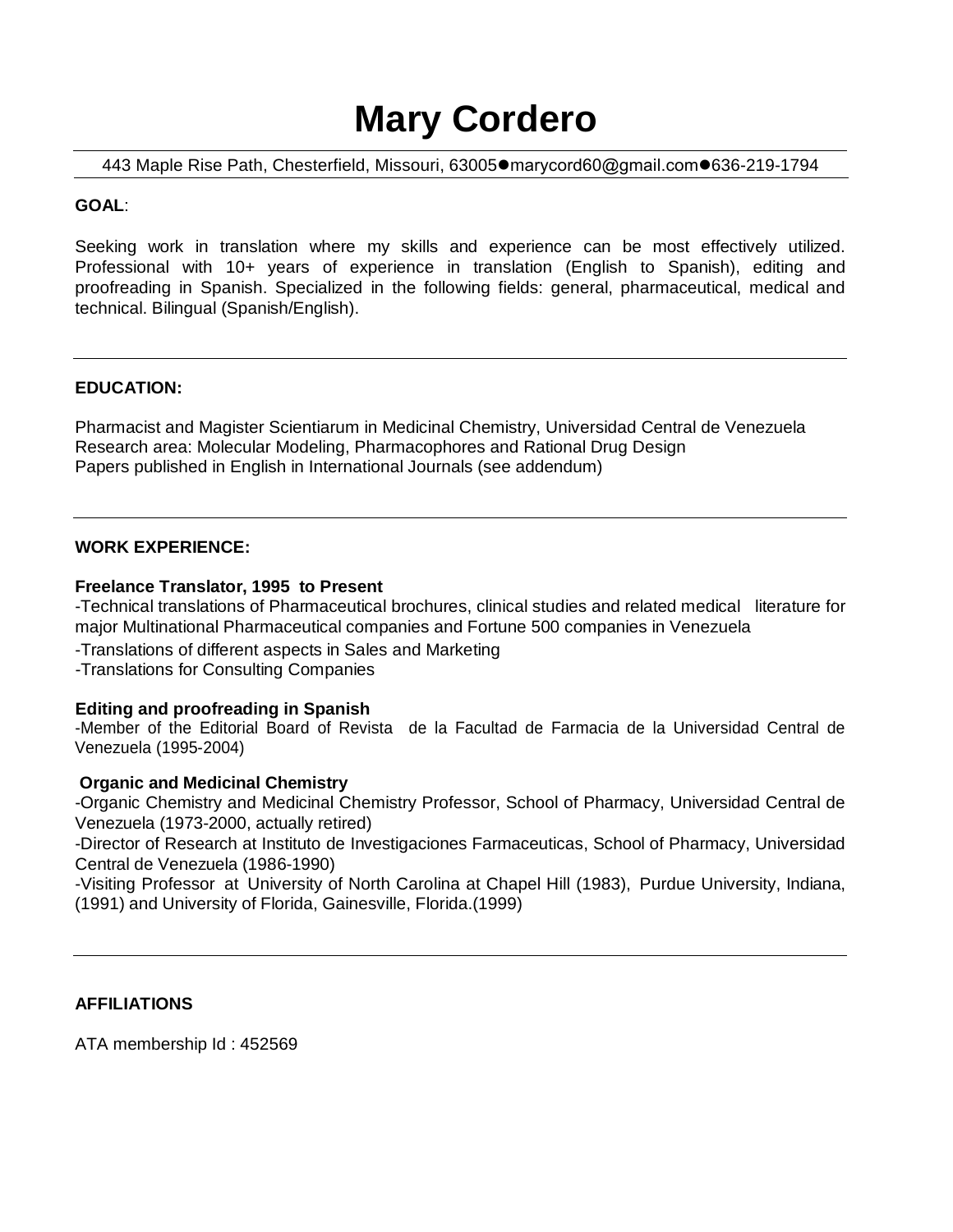# **Mary Cordero**

443 Maple Rise Path, Chesterfield, Missouri, 63005●m[arycord60@gmail.com](mailto:m_troconis@hotmail.com)●636-219-1794

## **GOAL**:

Seeking work in translation where my skills and experience can be most effectively utilized. Professional with 10+ years of experience in translation (English to Spanish), editing and proofreading in Spanish. Specialized in the following fields: general, pharmaceutical, medical and technical. Bilingual (Spanish/English).

## **EDUCATION:**

Pharmacist and Magister Scientiarum in Medicinal Chemistry, Universidad Central de Venezuela Research area: Molecular Modeling, Pharmacophores and Rational Drug Design Papers published in English in International Journals (see addendum)

### **WORK EXPERIENCE:**

### **Freelance Translator, 1995 to Present**

-Technical translations of Pharmaceutical brochures, clinical studies and related medical literature for major Multinational Pharmaceutical companies and Fortune 500 companies in Venezuela

- -Translations of different aspects in Sales and Marketing
- -Translations for Consulting Companies

### **Editing and proofreading in Spanish**

-Member of the Editorial Board of Revista de la Facultad de Farmacia de la Universidad Central de Venezuela (1995-2004)

### **Organic and Medicinal Chemistry**

-Organic Chemistry and Medicinal Chemistry Professor, School of Pharmacy, Universidad Central de Venezuela (1973-2000, actually retired)

-Director of Research at Instituto de Investigaciones Farmaceuticas, School of Pharmacy, Universidad Central de Venezuela (1986-1990)

-Visiting Professor at University of North Carolina at Chapel Hill (1983), Purdue University, Indiana, (1991) and University of Florida, Gainesville, Florida.(1999)

### **AFFILIATIONS**

ATA membership Id : 452569